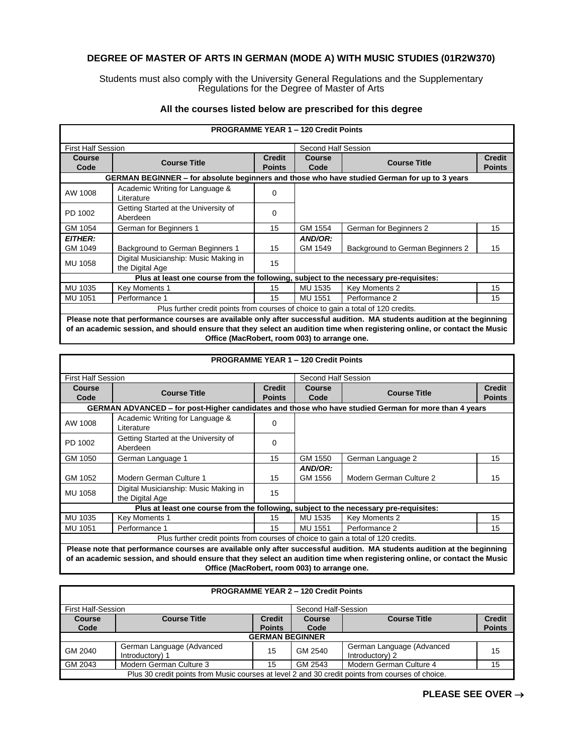## **DEGREE OF MASTER OF ARTS IN GERMAN (MODE A) WITH MUSIC STUDIES (01R2W370)**

Students must also comply with the University General Regulations and the Supplementary Regulations for the Degree of Master of Arts

| <b>PROGRAMME YEAR 1 - 120 Credit Points</b>                                       |                                                                                              |               |                     |                                  |               |  |
|-----------------------------------------------------------------------------------|----------------------------------------------------------------------------------------------|---------------|---------------------|----------------------------------|---------------|--|
| <b>First Half Session</b>                                                         |                                                                                              |               | Second Half Session |                                  |               |  |
| Course                                                                            | <b>Course Title</b>                                                                          | <b>Credit</b> | Course              | <b>Course Title</b>              | <b>Credit</b> |  |
| Code                                                                              |                                                                                              | <b>Points</b> | Code                |                                  | <b>Points</b> |  |
|                                                                                   | GERMAN BEGINNER – for absolute beginners and those who have studied German for up to 3 years |               |                     |                                  |               |  |
| AW 1008                                                                           | Academic Writing for Language &<br>Literature                                                | 0             |                     |                                  |               |  |
| PD 1002                                                                           | Getting Started at the University of<br>Aberdeen                                             | $\Omega$      |                     |                                  |               |  |
| GM 1054                                                                           | German for Beginners 1                                                                       | 15            | GM 1554             | German for Beginners 2           | 15            |  |
| <b>EITHER:</b>                                                                    |                                                                                              |               | AND/OR:             |                                  |               |  |
| GM 1049                                                                           | Background to German Beginners 1                                                             | 15            | GM 1549             | Background to German Beginners 2 | 15            |  |
| MU 1058                                                                           | Digital Musicianship: Music Making in<br>the Digital Age                                     | 15            |                     |                                  |               |  |
|                                                                                   | Plus at least one course from the following, subject to the necessary pre-requisites:        |               |                     |                                  |               |  |
| MU 1035                                                                           | Key Moments 1                                                                                | 15            | MU 1535             | Key Moments 2                    | 15            |  |
| MU 1051                                                                           | Performance 1                                                                                | 15            | MU 1551             | Performance 2                    | 15            |  |
| Plus further credit points from courses of choice to gain a total of 120 credits. |                                                                                              |               |                     |                                  |               |  |

## **All the courses listed below are prescribed for this degree**

**Please note that performance courses are available only after successful audition. MA students audition at the beginning of an academic session, and should ensure that they select an audition time when registering online, or contact the Music Office (MacRobert, room 003) to arrange one.**

|                                                                                                                          |                                                                                                                |               | <b>PROGRAMME YEAR 1 - 120 Credit Points</b> |                         |               |  |
|--------------------------------------------------------------------------------------------------------------------------|----------------------------------------------------------------------------------------------------------------|---------------|---------------------------------------------|-------------------------|---------------|--|
| <b>First Half Session</b>                                                                                                |                                                                                                                |               |                                             | Second Half Session     |               |  |
| <b>Course</b>                                                                                                            | <b>Course Title</b>                                                                                            | <b>Credit</b> | <b>Course</b>                               | <b>Course Title</b>     | <b>Credit</b> |  |
| Code                                                                                                                     |                                                                                                                | <b>Points</b> | Code                                        |                         | <b>Points</b> |  |
|                                                                                                                          | GERMAN ADVANCED – for post-Higher candidates and those who have studied German for more than 4 years           |               |                                             |                         |               |  |
| AW 1008                                                                                                                  | Academic Writing for Language &<br>Literature                                                                  | 0             |                                             |                         |               |  |
| PD 1002                                                                                                                  | Getting Started at the University of<br>Aberdeen                                                               | 0             |                                             |                         |               |  |
| GM 1050                                                                                                                  | German Language 1                                                                                              | 15            | GM 1550                                     | German Language 2       | 15            |  |
|                                                                                                                          |                                                                                                                |               | AND/OR:                                     |                         |               |  |
| GM 1052                                                                                                                  | Modern German Culture 1                                                                                        | 15            | GM 1556                                     | Modern German Culture 2 | 15            |  |
| MU 1058                                                                                                                  | Digital Musicianship: Music Making in<br>the Digital Age                                                       | 15            |                                             |                         |               |  |
|                                                                                                                          | Plus at least one course from the following, subject to the necessary pre-requisites:                          |               |                                             |                         |               |  |
| MU 1035                                                                                                                  | Key Moments 1                                                                                                  | 15            | MU 1535                                     | Key Moments 2           | 15            |  |
| MU 1051                                                                                                                  | Performance 1                                                                                                  | 15            | MU 1551                                     | Performance 2           | 15            |  |
| Plus further credit points from courses of choice to gain a total of 120 credits.                                        |                                                                                                                |               |                                             |                         |               |  |
| Please note that performance courses are available only after successful audition. MA students audition at the beginning |                                                                                                                |               |                                             |                         |               |  |
|                                                                                                                          | rende de la constitución de la constitución de la constitución de la constitución de la constitución de la con |               |                                             |                         |               |  |

**of an academic session, and should ensure that they select an audition time when registering online, or contact the Music Office (MacRobert, room 003) to arrange one.**

| <b>PROGRAMME YEAR 2 – 120 Credit Points</b>                                                      |                                              |               |               |                                              |               |  |
|--------------------------------------------------------------------------------------------------|----------------------------------------------|---------------|---------------|----------------------------------------------|---------------|--|
| Second Half-Session<br><b>First Half-Session</b>                                                 |                                              |               |               |                                              |               |  |
| <b>Course</b>                                                                                    | <b>Course Title</b>                          | <b>Credit</b> | <b>Course</b> | <b>Course Title</b>                          | <b>Credit</b> |  |
| Code                                                                                             |                                              | <b>Points</b> | Code          |                                              | <b>Points</b> |  |
|                                                                                                  | <b>GERMAN BEGINNER</b>                       |               |               |                                              |               |  |
| GM 2040                                                                                          | German Language (Advanced<br>Introductory) 1 | 15            | GM 2540       | German Language (Advanced<br>Introductory) 2 | 15            |  |
| GM 2043                                                                                          | Modern German Culture 3                      | 15            | GM 2543       | Modern German Culture 4                      | 15            |  |
| Plus 30 credit points from Music courses at level 2 and 30 credit points from courses of choice. |                                              |               |               |                                              |               |  |

## **PROGRAMME YEAR 2 – 120 Credit Points**